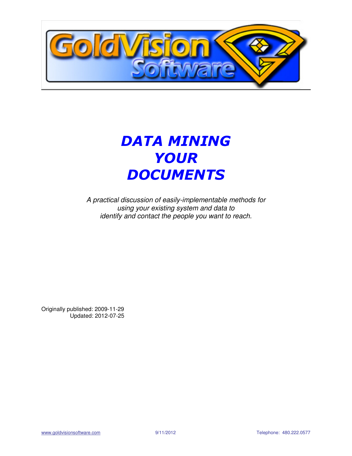

# DATA MINING YOUR **DOCUMENTS**

A practical discussion of easily-implementable methods for using your existing system and data to identify and contact the people you want to reach.

Originally published: 2009-11-29 Updated: 2012-07-25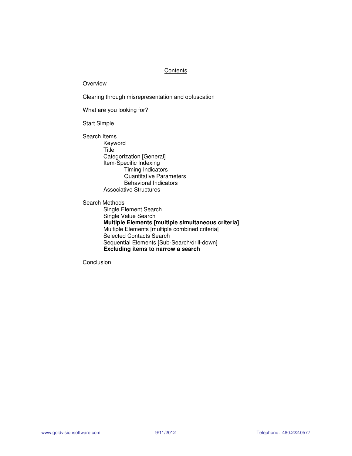### **Contents**

Overview

Clearing through misrepresentation and obfuscation

What are you looking for?

Start Simple

Search Items Keyword **Title**  Categorization [General] Item-Specific Indexing Timing Indicators Quantitative Parameters Behavioral Indicators Associative Structures

Search Methods Single Element Search Single Value Search  **Multiple Elements [multiple simultaneous criteria]** Multiple Elements [multiple combined criteria] Selected Contacts Search Sequential Elements [Sub-Search/drill-down]  **Excluding items to narrow a search** 

Conclusion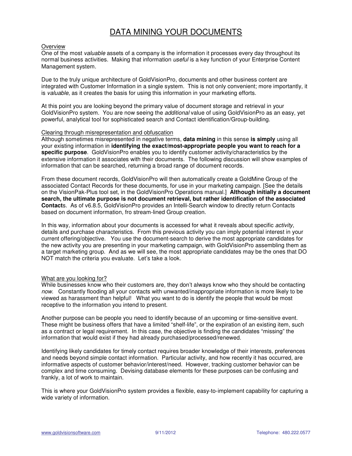# DATA MINING YOUR DOCUMENTS

#### **Overview**

One of the most valuable assets of a company is the information it processes every day throughout its normal business activities. Making that information useful is a key function of your Enterprise Content Management system.

Due to the truly unique architecture of GoldVisionPro, documents and other business content are integrated with Customer Information in a single system. This is not only convenient; more importantly, it is valuable, as it creates the basis for using this information in your marketing efforts.

At this point you are looking beyond the primary value of document storage and retrieval in your GoldVisionPro system. You are now seeing the *additional* value of using GoldVisionPro as an easy, yet powerful, analytical tool for sophisticated search and Contact identification/Group-building.

#### Clearing through misrepresentation and obfuscation

Although sometimes misrepresented in negative terms, **data mining** in this sense **is simply** using all your existing information in **identifying the exact/most-appropriate people you want to reach for a specific purpose**. GoldVisionPro enables you to identify customer activity/characteristics by the extensive information it associates with their documents. The following discussion will show examples of information that can be searched, returning a broad range of document records.

From these document records, GoldVisionPro will then automatically create a GoldMine Group of the associated Contact Records for these documents, for use in your marketing campaign. [See the details on the VisionPak-Plus tool set, in the GoldVisionPro Operations manual.] **Although initially a document search, the ultimate purpose is not document retrieval, but rather identification of the associated Contact**s. As of v6.8.5, GoldVisionPro provides an Intelli-Search window to directly return Contacts based on document information, fro stream-lined Group creation.

In this way, information about your documents is accessed for what it reveals about specific activity, details and purchase characteristics. From this previous activity you can imply potential interest in your current offering/objective. You use the document-search to derive the most appropriate candidates for the new activity you are presenting in your marketing campaign, with GoldVisionPro assembling them as a target marketing group. And as we will see, the most appropriate candidates may be the ones that DO NOT match the criteria you evaluate. Let's take a look.

#### What are you looking for?

While businesses know who their customers are, they don't always know who they should be contacting now. Constantly flooding all your contacts with unwanted/inappropriate information is more likely to be viewed as harassment than helpful! What you want to do is identify the people that would be most receptive to the information you intend to present.

Another purpose can be people you need to identify because of an upcoming or time-sensitive event. These might be business offers that have a limited "shelf-life", or the expiration of an existing item, such as a contract or legal requirement. In this case, the objective is finding the candidates "missing" the information that would exist if they had already purchased/processed/renewed.

Identifying likely candidates for timely contact requires broader knowledge of their interests, preferences and needs beyond simple contact information. Particular activity, and how recently it has occurred, are informative aspects of customer behavior/interest/need. However, tracking customer behavior can be complex and time consuming. Devising database elements for these purposes can be confusing and frankly, a lot of work to maintain.

This is where your GoldVisionPro system provides a flexible, easy-to-implement capability for capturing a wide variety of information.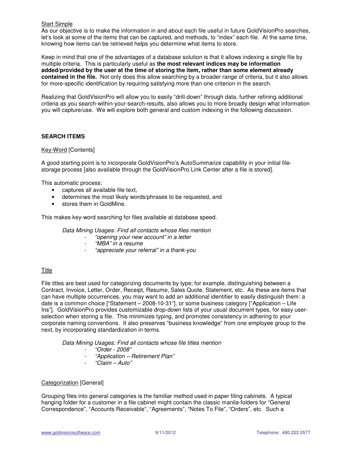#### Start Simple

As our objective is to make the information in and about each file useful in future GoldVisionPro searches, let's look at some of the items that can be captured, and methods, to "index" each file. At the same time, knowing how items can be retrieved helps you determine what items to store.

Keep in mind that one of the advantages of a database solution is that it allows indexing a single file by multiple criteria. This is particularly useful as **the most relevant indices may be information added/provided by the user at the time of storing the item, rather than some element already contained in the file.** Not only does this allow searching by a broader range of criteria, but it also allows for more-specific identification by requiring satisfying more than one criterion in the search.

Realizing that GoldVisionPro will allow you to easily "drill-down" through data, further refining additional criteria as you search-within-your-search-results, also allows you to more broadly design what information you will capture/use. We will explore both general and custom indexing in the following discussion.

## **SEARCH ITEMS**

#### Key-Word [Contents]

A good starting point is to incorporate GoldVisionPro's AutoSummarize capability in your initial filestorage process [also available through the GoldVisionPro Link Center after a file is stored].

This automatic process:

- captures all available file text,
- determines the most likely words/phrases to be requested, and
- stores them in GoldMine.

This makes key-word searching for files available at database speed.

Data Mining Usages: Find all contacts whose files mention

- "opening your new account" in a letter
	- "MBA" in a resume
- "appreciate your referral" in a thank-you

#### Title

File titles are best used for categorizing documents by type; for example, distinguishing between a Contract, Invoice, Letter, Order, Receipt, Resume, Sales Quote, Statement, etc. As these are items that can have multiple occurrences, you may want to add an additional identifier to easily distinguish them: a date is a common choice ["Statement – 2008-10-31"], or some business category ["Application – Life Ins"]. GoldVisionPro provides customizable drop-down lists of your usual document types, for easy userselection when storing a file. This minimizes typing, and promotes consistency in adhering to your corporate naming conventions. It also preserves "business knowledge" from one employee group to the next, by incorporating standardization in terms.

Data Mining Usages: Find all contacts whose file titles mention

- "Order 2008"
- "Application Retirement Plan"
- "Claim Auto"

#### Categorization [General]

Grouping files into general categories is the familiar method used in paper filing cabinets. A typical hanging folder for a customer in a file cabinet might contain the classic manila-folders for "General Correspondence", "Accounts Receivable", "Agreements", "Notes To File", "Orders", etc. Such a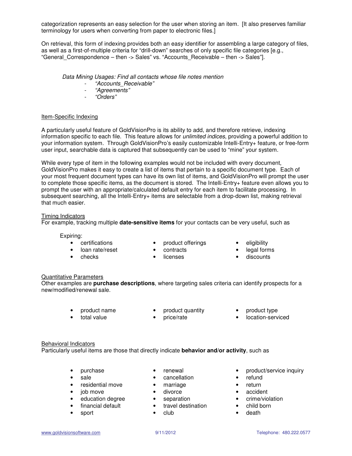categorization represents an easy selection for the user when storing an item. [It also preserves familiar terminology for users when converting from paper to electronic files.]

On retrieval, this form of indexing provides both an easy identifier for assembling a large category of files, as well as a first-of-multiple criteria for "drill-down" searches of only specific file categories [e.g., "General\_Correspondence – then -> Sales" vs. "Accounts\_Receivable – then -> Sales"].

Data Mining Usages: Find all contacts whose file notes mention

- "Accounts\_Receivable"<br>- "Agreements"
- "Agreements"
- "Orders"

#### Item-Specific Indexing

A particularly useful feature of GoldVisionPro is its ability to add, and therefore retrieve, indexing information specific to each file. This feature allows for unlimited indices, providing a powerful addition to your information system. Through GoldVisionPro's easily customizable Intelli-Entry+ feature, or free-form user input, searchable data is captured that subsequently can be used to "mine" your system.

While every type of item in the following examples would not be included with every document, GoldVisionPro makes it easy to create a list of items that pertain to a specific document type. Each of your most frequent document types can have its own list of items, and GoldVisionPro will prompt the user to complete those specific items, as the document is stored. The Intelli-Entry+ feature even allows you to prompt the user with an appropriate/calculated default entry for each item to facilitate processing. In subsequent searching, all the Intelli-Entry+ items are selectable from a drop-down list, making retrieval that much easier.

#### Timing Indicators

For example, tracking multiple **date-sensitive items** for your contacts can be very useful, such as

# Expiring:

- 
- loan rate/reset contracts legal forms
- 
- certifications product offerings eligibility
- -
	- checks licenses discounts

# Quantitative Parameters

Other examples are **purchase descriptions**, where targeting sales criteria can identify prospects for a new/modified/renewal sale.

- 
- 
- product name product quantity product type
- total value price/rate location-serviced

#### Behavioral Indicators

Particularly useful items are those that directly indicate **behavior and/or activity**, such as

- 
- 
- residential move marriage return
- 
- job move divorce accident • education degree • separation • crime/violation • crime/violation • crime/violation • crime/violation • child
- 
- sport club death
- 
- sale cancellation
	-
	-
	-
- education degree<br>• financial default travel destination
	-
- purchase renewal product/service inquiry
	-
	-
	-
	-
	-
	-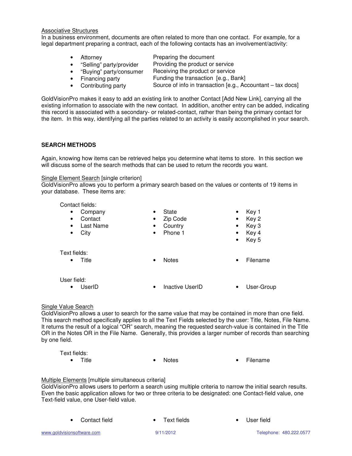#### Associative Structures

In a business environment, documents are often related to more than one contact. For example, for a legal department preparing a contract, each of the following contacts has an involvement/activity:

- Attorney **Preparing the document**
- "Selling" party/provider Providing the product or service
- "Buying" party/consumer Receiving the product or service
	-
- 
- Financing party **Funding the transaction [e.g., Bank]**
- 
- Contributing party Source of info in transaction [e.g., Accountant tax docs]

GoldVisionPro makes it easy to add an existing link to another Contact [Add New Link], carrying all the existing information to associate with the new contact. In addition, another entry can be added, indicating this record is associated with a secondary- or related-contact, rather than being the primary contact for the item. In this way, identifying all the parties related to an activity is easily accomplished in your search.

# **SEARCH METHODS**

Again, knowing how items can be retrieved helps you determine what items to store. In this section we will discuss some of the search methods that can be used to return the records you want.

#### Single Element Search [single criterion]

GoldVisionPro allows you to perform a primary search based on the values or contents of 19 items in your database. These items are:

Contact fields:

| Company<br>$\bullet$   | State<br>٠                | Key 1<br>$\bullet$    |
|------------------------|---------------------------|-----------------------|
| Contact<br>$\bullet$   | Zip Code<br>$\bullet$     | $\bullet$ Key 2       |
| Last Name<br>$\bullet$ | Country<br>$\bullet$      | $\bullet$ Key 3       |
| City<br>$\bullet$      | Phone 1<br>$\bullet$      | $\bullet$ Key 4       |
|                        |                           | $\bullet$ Key 5       |
| Text fields:           |                           |                       |
| Title<br>$\bullet$     | <b>Notes</b><br>$\bullet$ | Filename<br>$\bullet$ |
|                        |                           |                       |

User field:

• UserID • Inactive UserID • User-Group

# Single Value Search

GoldVisionPro allows a user to search for the same value that may be contained in more than one field. This search method specifically applies to all the Text Fields selected by the user: Title, Notes, File Name. It returns the result of a logical "OR" search, meaning the requested search-value is contained in the Title OR in the Notes OR in the File Name. Generally, this provides a larger number of records than searching by one field.

| Text fields: |              |
|--------------|--------------|
| طاti⊤        | <b>Notae</b> |

• Title • Notes • Notes • Filename

### Multiple Elements [multiple simultaneous criteria]

GoldVisionPro allows users to perform a search using multiple criteria to narrow the initial search results. Even the basic application allows for two or three criteria to be designated: one Contact-field value, one Text-field value, one User-field value.

| • Contact field | • Text fields | • User field |
|-----------------|---------------|--------------|
|                 |               |              |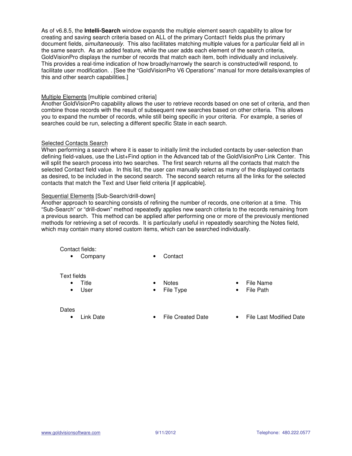As of v6.8.5, the **Intelli-Search** window expands the multiple element search capability to allow for creating and saving search criteria based on ALL of the primary Contact1 fields plus the primary document fields, simultaneously. This also facilitates matching multiple values for a particular field all in the same search. As an added feature, while the user adds each element of the search criteria, GoldVisionPro displays the number of records that match each item, both individually and inclusively. This provides a real-time indication of how broadly/narrowly the search is constructed/will respond, to facilitate user modification. . [See the "GoldVisionPro V6 Operations" manual for more details/examples of this and other search capabilities.]

#### Multiple Elements [multiple combined criteria]

Another GoldVisionPro capability allows the user to retrieve records based on one set of criteria, and then combine those records with the result of subsequent new searches based on other criteria. This allows you to expand the number of records, while still being specific in your criteria. For example, a series of searches could be run, selecting a different specific State in each search.

### Selected Contacts Search

When performing a search where it is easer to initially limit the included contacts by user-selection than defining field-values, use the List+Find option in the Advanced tab of the GoldVisionPro Link Center. This will split the search process into two searches. The first search returns all the contacts that match the selected Contact field value. In this list, the user can manually select as many of the displayed contacts as desired, to be included in the second search. The second search returns all the links for the selected contacts that match the Text and User field criteria [if applicable].

#### Sequential Elements [Sub-Search/drill-down]

Another approach to searching consists of refining the number of records, one criterion at a time. This "Sub-Search" or "drill-down" method repeatedly applies new search criteria to the records remaining from a previous search. This method can be applied after performing one or more of the previously mentioned methods for retrieving a set of records. It is particularly useful in repeatedly searching the Notes field, which may contain many stored custom items, which can be searched individually.

Contact fields:

• Company • Contact

#### Text fields

- 
- 
- 
- User File Type File Path
- Title Notes File Name
	-

#### **Dates**

- 
- Link Date File Created Date File Last Modified Date